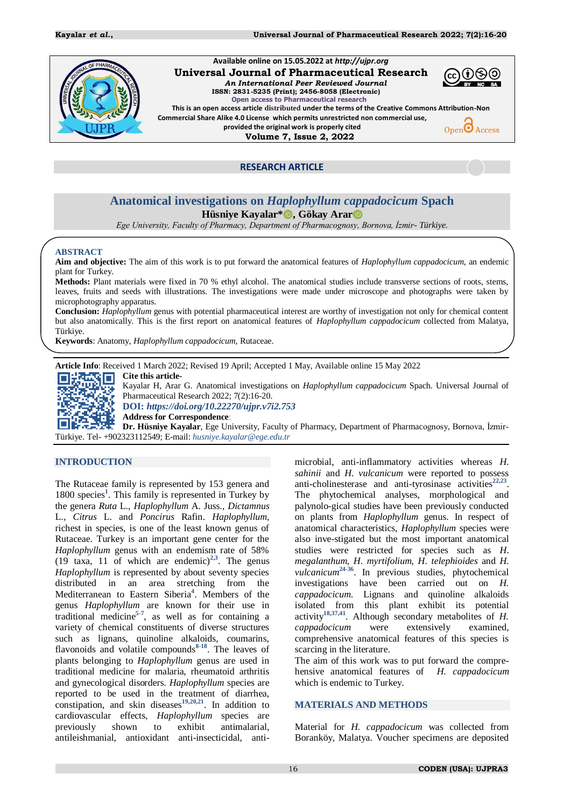

#### **Available online on 15.05.2022 at** *http://ujpr.org*  **Universal Journal of Pharmaceutical Research**  *An International Peer Reviewed Journal*



 **ISSN: 2831-5235 (Print); 2456-8058 (Electronic) Open access to Pharmaceutical research This is an open access article distributed under the terms of the Creative Commons Attribution-Non** 

**Commercial Share Alike 4.0 License which permits unrestricted non commercial use, provided the original work is properly cited**

 **Volume 7, Issue 2, 2022**



**RESEARCH ARTICLE** 

# **Anatomical investigations on** *Haplophyllum cappadocicum* **Spach**

**Hüsniye Kayalar\* D**, Gökay Arar<sup>th</sup>

*Ege University, Faculty of Pharmacy, Department of Pharmacognosy, Bornova, İzmir- Türkiye.*

#### **ABSTRACT**

**Aim and objective:** The aim of this work is to put forward the anatomical features of *Haplophyllum cappadocicum*, an endemic plant for Turkey.

**Methods:** Plant materials were fixed in 70 % ethyl alcohol. The anatomical studies include transverse sections of roots, stems, leaves, fruits and seeds with illustrations. The investigations were made under microscope and photographs were taken by microphotography apparatus.

**Conclusion:** *Haplophyllum* genus with potential pharmaceutical interest are worthy of investigation not only for chemical content but also anatomically. This is the first report on anatomical features of *Haplophyllum cappadocicum* collected from Malatya, Türkiye.

**Keywords**: Anatomy*, Haplophyllum cappadocicum*, Rutaceae.

**Article Info**: Received 1 March 2022; Revised 19 April; Accepted 1 May, Available online 15 May 2022



Kayalar H, Arar G. Anatomical investigations on *Haplophyllum cappadocicum* Spach. Universal Journal of Pharmaceutical Research 2022; 7(2):16-20.

**DOI:** *<https://doi.org/10.22270/ujpr.v7i2.753>*

**Address for Correspondence**:

**Dr. Hüsniye Kayalar**, Ege University, Faculty of Pharmacy, Department of Pharmacognosy, Bornova, İzmir-Türkiye. Tel- +902323112549; E-mail: *[husniye.kayalar@ege.edu.tr](mailto:husniye.kayalar@ege.edu.tr)*

# **INTRODUCTION**

The Rutaceae family is represented by 153 genera and 1800 [s](#page-3-0)pecies<sup>1</sup>. This family is represented in Turkey by the genera *Ruta* L., *Haplophyllum* A. Juss., *Dictamnus* L., *Citrus* L. and *Poncirus* Rafin. *Haplophyllum*, richest in species, is one of the least known genus of Rutaceae. Turkey is an important gene center for the *Haplophyllum* genus with an endemism rate of 58%  $(19 \text{ taxa}, 11 \text{ of which are endemic})^{2,3}$  $(19 \text{ taxa}, 11 \text{ of which are endemic})^{2,3}$  $(19 \text{ taxa}, 11 \text{ of which are endemic})^{2,3}$  $(19 \text{ taxa}, 11 \text{ of which are endemic})^{2,3}$ . The genus *Haplophyllum* is represented by about seventy species distributed in an area stretching from the Mediterranean to Eastern Siberi[a](#page-3-3)**<sup>4</sup>** . Members of the genus *Haplophyllum* are known for their use in traditional medicine**[5-](#page-3-4)[7](#page-3-5)** , as well as for containing a variety of chemical constituents of diverse structures such as lignans, quinoline alkaloids, coumarins, flavonoids and volatile compounds**[8](#page-3-6)[-18](#page-4-0)** . The leaves of plants belonging to *Haplophyllum* genus are used in traditional medicine for malaria, rheumatoid arthritis and gynecological disorders. *Haplophyllum* species are reported to be used in the treatment of diarrhea, constipation, and skin diseases**[19,](#page-4-1)[20,](#page-4-2)[21](#page-4-3)** . In addition to cardiovascular effects, *Haplophyllum* species are previously shown to exhibit antimalarial, antileishmanial, antioxidant anti-insecticidal, anti-

microbial, anti-inflammatory activities whereas *H. sahinii* and *H*. *vulcanicum* were reported to possess anti-cholinesterase and anti-tyrosinase activities<sup>[22,](#page-4-4)[23](#page-4-5)</sup>. The phytochemical analyses, morphological and palynolo-gical studies have been previously conducted on plants from *Haplophyllum* genus. In respect of anatomical characteristics, *Haplophyllum* species were also inve-stigated but the most important anatomical studies were restricted for species such as *H*. *megalanthum, H*. *myrtifolium, H*. *telephioides* and *H. vulcanicum***[24](#page-4-6)[-36](#page-4-7)** . In previous studies, phytochemical investigations have been carried out on *H. cappadocicum*. Lignans and quinoline alkaloids isolated from this plant exhibit its potential activity**[18,](#page-4-0)[37](#page-4-8)[,41](#page-4-9)**. Although secondary metabolites of *H. cappadocicum* were extensively examined, comprehensive anatomical features of this species is scarcing in the literature.

The aim of this work was to put forward the comprehensive anatomical features of *H. cappadocicum*  which is endemic to Turkey.

### **MATERIALS AND METHODS**

Material for *H. cappadocicum* was collected from Boranköy, Malatya. Voucher specimens are deposited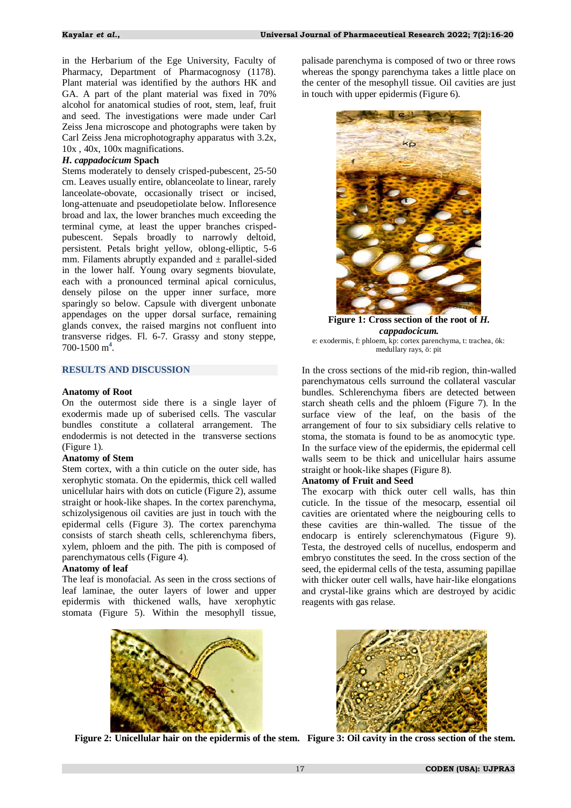in the Herbarium of the Ege University, Faculty of Pharmacy, Department of Pharmacognosy (1178). Plant material was identified by the authors HK and GA. A part of the plant material was fixed in 70% alcohol for anatomical studies of root, stem, leaf, fruit and seed. The investigations were made under Carl Zeiss Jena microscope and photographs were taken by Carl Zeiss Jena microphotography apparatus with 3.2x, 10x , 40x, 100x magnifications.

#### *H. cappadocicum* **Spach**

Stems moderately to densely crisped-pubescent, 25-50 cm. Leaves usually entire, oblanceolate to linear, rarely lanceolate-obovate, occasionally trisect or incised, long-attenuate and pseudopetiolate below. Infloresence broad and lax, the lower branches much exceeding the terminal cyme, at least the upper branches crispedpubescent. Sepals broadly to narrowly deltoid, persistent. Petals bright yellow, oblong-elliptic, 5-6 mm. Filaments abruptly expanded and  $\pm$  parallel-sided in the lower half. Young ovary segments biovulate, each with a pronounced terminal apical corniculus, densely pilose on the upper inner surface, more sparingly so below. Capsule with divergent unbonate appendages on the upper dorsal surface, remaining glands convex, the raised margins not confluent into transverse ridges. Fl. 6-7. Grassy and stony steppe, 700-1500 [m](#page-3-3)**<sup>4</sup>** .

## **RESULTS AND DISCUSSION**

#### **Anatomy of Root**

On the outermost side there is a single layer of exodermis made up of suberised cells. The vascular bundles constitute a collateral arrangement. The endodermis is not detected in the transverse sections (Figure 1).

### **Anatomy of Stem**

Stem cortex, with a thin cuticle on the outer side, has xerophytic stomata. On the epidermis, thick cell walled unicellular hairs with dots on cuticle (Figure 2), assume straight or hook-like shapes. In the cortex parenchyma, schizolysigenous oil cavities are just in touch with the epidermal cells (Figure 3). The cortex parenchyma consists of starch sheath cells, schlerenchyma fibers, xylem, phloem and the pith. The pith is composed of parenchymatous cells (Figure 4).

### **Anatomy of leaf**

The leaf is monofacial. As seen in the cross sections of leaf laminae, the outer layers of lower and upper epidermis with thickened walls, have xerophytic stomata (Figure 5). Within the mesophyll tissue,

palisade parenchyma is composed of two or three rows whereas the spongy parenchyma takes a little place on the center of the mesophyll tissue. Oil cavities are just in touch with upper epidermis (Figure 6).



**Figure 1: Cross section of the root of** *H. cappadocicum.* e: exodermis, f: phloem, kp: cortex parenchyma, t: trachea, ök: medullary rays, ö: pit

In the cross sections of the mid-rib region, thin-walled parenchymatous cells surround the collateral vascular bundles. Schlerenchyma fibers are detected between starch sheath cells and the phloem (Figure 7). In the surface view of the leaf, on the basis of the arrangement of four to six subsidiary cells relative to stoma, the stomata is found to be as anomocytic type. In the surface view of the epidermis, the epidermal cell walls seem to be thick and unicellular hairs assume straight or hook-like shapes (Figure 8).

### **Anatomy of Fruit and Seed**

The exocarp with thick outer cell walls, has thin cuticle. In the tissue of the mesocarp, essential oil cavities are orientated where the neigbouring cells to these cavities are thin-walled. The tissue of the endocarp is entirely sclerenchymatous (Figure 9). Testa, the destroyed cells of nucellus, endosperm and embryo constitutes the seed. In the cross section of the seed, the epidermal cells of the testa, assuming papillae with thicker outer cell walls, have hair-like elongations and crystal-like grains which are destroyed by acidic reagents with gas relase.





 **Figure 2: Unicellular hair on the epidermis of the stem. Figure 3: Oil cavity in the cross section of the stem.**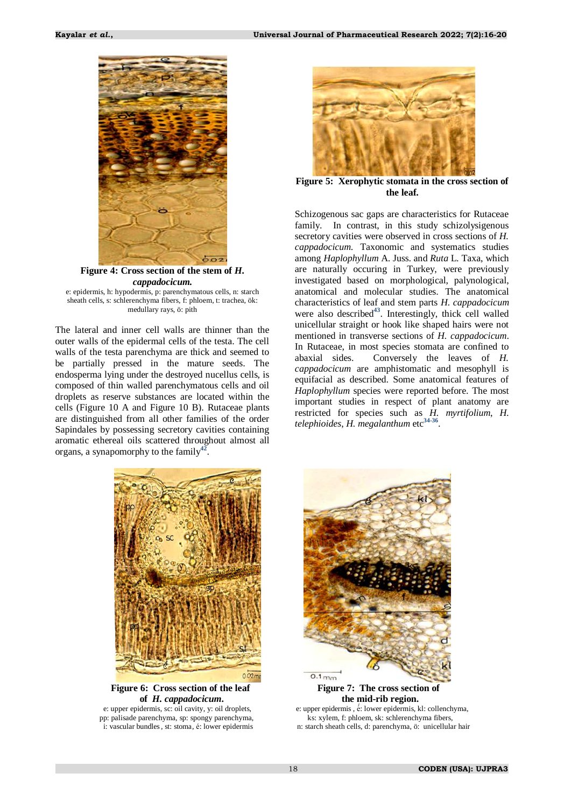

**Figure 4: Cross section of the stem of** *H. cappadocicum.* e: epidermis, h: hypodermis, p: parenchymatous cells, n: starch

sheath cells, s: schlerenchyma fibers, f: phloem, t: trachea, ök: medullary rays, ö: pith

The lateral and inner cell walls are thinner than the outer walls of the epidermal cells of the testa. The cell walls of the testa parenchyma are thick and seemed to be partially pressed in the mature seeds. The endosperma lying under the destroyed nucellus cells, is composed of thin walled parenchymatous cells and oil droplets as reserve substances are located within the cells (Figure 10 A and Figure 10 B). Rutaceae plants are distinguished from all other families of the order Sapindales by possessing secretory cavities containing aromatic ethereal oils scattered throughout almost all organs, a synapomorphy to the family**[42](#page-4-10)** .



**Figure 5: Xerophytic stomata in the cross section of the leaf.**

Schizogenous sac gaps are characteristics for Rutaceae family. In contrast, in this study schizolysigenous secretory cavities were observed in cross sections of *H. cappadocicum*. Taxonomic and systematics studies among *Haplophyllum* A. Juss. and *Ruta* L. Taxa, which are naturally occuring in Turkey, were previously investigated based on morphological, palynological, anatomical and molecular studies. The anatomical characteristics of leaf and stem parts *H. cappadocicum* were also described<sup>[43](#page-4-11)</sup>. Interestingly, thick cell walled unicellular straight or hook like shaped hairs were not mentioned in transverse sections of *H. cappadocicum*. In Rutaceae, in most species stomata are confined to abaxial sides. Conversely the leaves of *H. cappadocicum* are amphistomatic and mesophyll is equifacial as described. Some anatomical features of *Haplophyllum* species were reported before. The most important studies in respect of plant anatomy are restricted for species such as *H. myrtifolium*, *H. telephioides*, *H. megalanthum* etc**[34](#page-4-12)[-36](#page-4-7)** .



**Figure 6: Cross section of the leaf** Figure 7: The cross section of  **of** *H. cappadocicum***. the mid-rib region.**

e: upper epidermis, sc: oil cavity, y: oil droplets,<br>
e: upper epidermis,  $\acute{e}$ : lower epidermis, kl: collench<br>
e: upper epidermis,  $\acute{e}$ : lower epidermis, kl: collench<br>
ks: xylem, f: phloem, sk: schlerenchyma fibers, pp: palisade parenchyma, sp: spongy parenchyma,



́́: lower epidermis, kl: collenchyma,

i: vascular bundles, st: stoma, é: lower epidermis n: starch sheath cells, d: parenchyma, ö: unicellular hair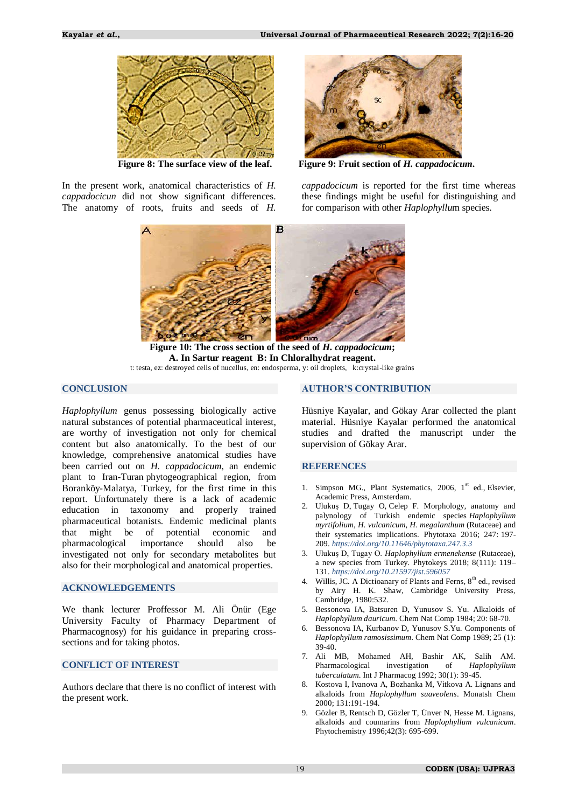

In the present work, anatomical characteristics of *H. cappadocicun* did not show significant differences. The anatomy of roots, fruits and seeds of *H.* 



 **Figure 8: The surface view of the leaf. Figure 9: Fruit section of** *H. cappadocicum***.**

*cappadocicum* is reported for the first time whereas these findings might be useful for distinguishing and for comparison with other *Haplophyllu*m species.



**Figure 10: The cross section of the seed of** *H. cappadocicum***; A. In Sartur reagent B: In Chloralhydrat reagent.** t: testa, ez: destroyed cells of nucellus, en: endosperma, y: oil droplets, k:crystal-like grains

## **CONCLUSION**

*Haplophyllum* genus possessing biologically active natural substances of potential pharmaceutical interest, are worthy of investigation not only for chemical content but also anatomically. To the best of our knowledge, comprehensive anatomical studies have been carried out on *H. cappadocicum*, an endemic plant to Iran-Turan phytogeographical region, from Boranköy-Malatya, Turkey, for the first time in this report. Unfortunately there is a lack of academic education in taxonomy and properly trained pharmaceutical botanists. Endemic medicinal plants that might be of potential economic and pharmacological importance should also be investigated not only for secondary metabolites but also for their morphological and anatomical properties.

## **ACKNOWLEDGEMENTS**

We thank lecturer Proffessor M. Ali Önür (Ege University Faculty of Pharmacy Department of Pharmacognosy) for his guidance in preparing crosssections and for taking photos.

## **CONFLICT OF INTEREST**

Authors declare that there is no conflict of interest with the present work.

## **AUTHOR'S CONTRIBUTION**

Hüsniye Kayalar, and Gökay Arar collected the plant material. Hüsniye Kayalar performed the anatomical studies and drafted the manuscript under the supervision of Gökay Arar.

### **REFERENCES**

- <span id="page-3-0"></span>1. Simpson MG., Plant Systematics, 2006,  $1<sup>st</sup>$  ed., Elsevier, Academic Press, Amsterdam.
- <span id="page-3-1"></span>2. Ulukuş D, Tugay O, Celep F. Morphology, anatomy and palynology of Turkish endemic species *Haplophyllum myrtifolium*, *H. vulcanicum*, *H. megalanthum* (Rutaceae) and their systematics implications. Phytotaxa 2016; 247: 197- 209. *<https://doi.org/10.11646/phytotaxa.247.3.3>*
- <span id="page-3-2"></span>3. Ulukuş D, Tugay O. *Haplophyllum ermenekense* (Rutaceae), a new species from Turkey. Phytokeys 2018; 8(111): 119– 131. *<https://doi.org/10.21597/jist.596057>*
- <span id="page-3-3"></span>4. Willis, JC. A Dictioanary of Plants and Ferns, 8<sup>th</sup> ed., revised by Airy H. K. Shaw, Cambridge University Press, Cambridge, 1980:532.
- <span id="page-3-4"></span>5. Bessonova IA, Batsuren D, Yunusov S. Yu. Alkaloids of *Haplophyllum dauricum*. Chem Nat Comp 1984; 20: 68-70.
- 6. Bessonova IA, Kurbanov D, Yunusov S.Yu. Components of *Haplophyllum ramosissimum*. Chem Nat Comp 1989; 25 (1): 39-40.
- <span id="page-3-5"></span>7. Ali MB, Mohamed AH, Bashir AK, Salih AM.<br>Pharmacological investigation of *Haplophyllum* investigation of *Haplophyllum tuberculatum*. Int J Pharmacog 1992; 30(1): 39-45.
- <span id="page-3-6"></span>8. Kostova I, Ivanova A, Bozhanka M, Vitkova A. Lignans and alkaloids from *Haplophyllum suaveolens*. Monatsh Chem 2000; 131:191-194.
- 9. Gözler B, Rentsch D, Gözler T, Ünver N, Hesse M. Lignans, alkaloids and coumarins from *Haplophyllum vulcanicum*. Phytochemistry 1996;42(3): 695-699.